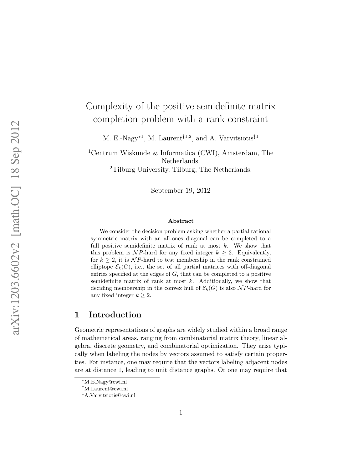# Complexity of the positive semidefinite matrix completion problem with a rank constraint

M. E.-Nagy<sup>\*1</sup>, M. Laurent<sup>†1,2</sup>, and A. Varvitsiotis<sup>‡1</sup>

<sup>1</sup>Centrum Wiskunde & Informatica (CWI), Amsterdam, The Netherlands. <sup>2</sup>Tilburg University, Tilburg, The Netherlands.

September 19, 2012

#### Abstract

We consider the decision problem asking whether a partial rational symmetric matrix with an all-ones diagonal can be completed to a full positive semidefinite matrix of rank at most  $k$ . We show that this problem is NP-hard for any fixed integer  $k \geq 2$ . Equivalently, for  $k \geq 2$ , it is NP-hard to test membership in the rank constrained elliptope  $\mathcal{E}_k(G)$ , i.e., the set of all partial matrices with off-diagonal entries specified at the edges of  $G$ , that can be completed to a positive semidefinite matrix of rank at most  $k$ . Additionally, we show that deciding membership in the convex hull of  $\mathcal{E}_k(G)$  is also NP-hard for any fixed integer  $k \geq 2$ .

### 1 Introduction

Geometric representations of graphs are widely studied within a broad range of mathematical areas, ranging from combinatorial matrix theory, linear algebra, discrete geometry, and combinatorial optimization. They arise typically when labeling the nodes by vectors assumed to satisfy certain properties. For instance, one may require that the vectors labeling adjacent nodes are at distance 1, leading to unit distance graphs. Or one may require that

<sup>∗</sup>M.E.Nagy@cwi.nl

<sup>†</sup>M.Laurent@cwi.nl

<sup>‡</sup>A.Varvitsiotis@cwi.nl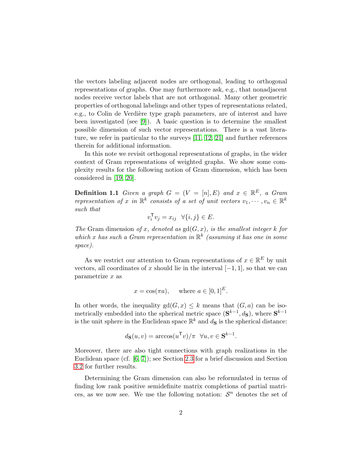the vectors labeling adjacent nodes are orthogonal, leading to orthogonal representations of graphs. One may furthermore ask, e.g., that nonadjacent nodes receive vector labels that are not orthogonal. Many other geometric properties of orthogonal labelings and other types of representations related, e.g., to Colin de Verdière type graph parameters, are of interest and have been investigated (see [\[9\]](#page-16-0)). A basic question is to determine the smallest possible dimension of such vector representations. There is a vast literature, we refer in particular to the surveys [\[11,](#page-16-1) [12,](#page-16-2) [21\]](#page-17-0) and further references therein for additional information.

In this note we revisit orthogonal representations of graphs, in the wider context of Gram representations of weighted graphs. We show some complexity results for the following notion of Gram dimension, which has been considered in [\[19,](#page-17-1) [20\]](#page-17-2).

**Definition 1.1** Given a graph  $G = (V = [n], E)$  and  $x \in \mathbb{R}^E$ , a Gram representation of x in  $\mathbb{R}^k$  consists of a set of unit vectors  $v_1, \dots, v_n \in \mathbb{R}^k$ such that

$$
v_i^{\mathsf{T}} v_j = x_{ij} \quad \forall \{i, j\} \in E.
$$

The Gram dimension of x, denoted as  $gd(G, x)$ , is the smallest integer k for which x has such a Gram representation in  $\mathbb{R}^k$  (assuming it has one in some space).

As we restrict our attention to Gram representations of  $x \in \mathbb{R}^E$  by unit vectors, all coordinates of x should lie in the interval  $[-1, 1]$ , so that we can  $parametrize x as$ 

$$
x = \cos(\pi a)
$$
, where  $a \in [0, 1]^E$ .

In other words, the inequality  $gd(G, x) \leq k$  means that  $(G, a)$  can be isometrically embedded into the spherical metric space  $(\mathbf{S}^{k-1}, d_{\mathbf{S}})$ , where  $\mathbf{S}^{k-1}$ is the unit sphere in the Euclidean space  $\mathbb{R}^k$  and  $d_{\mathbf{S}}$  is the spherical distance:

$$
d_{\mathbf{S}}(u,v) = \arccos(u^{\mathsf{T}}v)/\pi \quad \forall u, v \in \mathbf{S}^{k-1}.
$$

Moreover, there are also tight connections with graph realizations in the Euclidean space (cf. [\[6,](#page-16-3) [7\]](#page-16-4)); see Section [2.3](#page-6-0) for a brief discussion and Section [3.2](#page-9-0) for further results.

Determining the Gram dimension can also be reformulated in terms of finding low rank positive semidefinite matrix completions of partial matrices, as we now see. We use the following notation:  $S<sup>n</sup>$  denotes the set of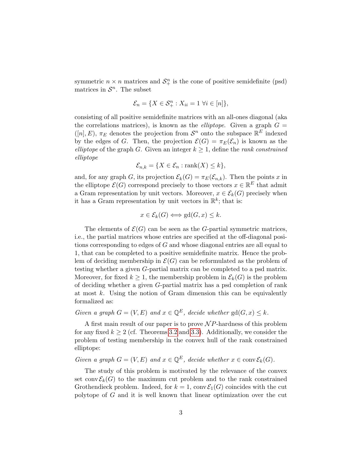symmetric  $n \times n$  matrices and  $S^n_+$  is the cone of positive semidefinite (psd) matrices in  $\mathcal{S}^n$ . The subset

$$
\mathcal{E}_n = \{ X \in \mathcal{S}_+^n : X_{ii} = 1 \ \forall i \in [n] \},\
$$

consisting of all positive semidefinite matrices with an all-ones diagonal (aka the correlations matrices), is known as the *elliptope*. Given a graph  $G =$  $([n], E)$ ,  $\pi_E$  denotes the projection from  $\mathcal{S}^n$  onto the subspace  $\mathbb{R}^E$  indexed by the edges of G. Then, the projection  $\mathcal{E}(G) = \pi_E(\mathcal{E}_n)$  is known as the elliptope of the graph G. Given an integer  $k \geq 1$ , define the rank constrained elliptope

$$
\mathcal{E}_{n,k} = \{ X \in \mathcal{E}_n : \text{rank}(X) \le k \},\
$$

and, for any graph G, its projection  $\mathcal{E}_k(G) = \pi_E(\mathcal{E}_{n,k})$ . Then the points x in the elliptope  $\mathcal{E}(G)$  correspond precisely to those vectors  $x \in \mathbb{R}^E$  that admit a Gram representation by unit vectors. Moreover,  $x \in \mathcal{E}_k(G)$  precisely when it has a Gram representation by unit vectors in  $\mathbb{R}^k$ ; that is:

$$
x \in \mathcal{E}_k(G) \Longleftrightarrow \text{gd}(G, x) \leq k.
$$

The elements of  $\mathcal{E}(G)$  can be seen as the G-partial symmetric matrices, i.e., the partial matrices whose entries are specified at the off-diagonal positions corresponding to edges of G and whose diagonal entries are all equal to 1, that can be completed to a positive semidefinite matrix. Hence the problem of deciding membership in  $\mathcal{E}(G)$  can be reformulated as the problem of testing whether a given G-partial matrix can be completed to a psd matrix. Moreover, for fixed  $k \geq 1$ , the membership problem in  $\mathcal{E}_k(G)$  is the problem of deciding whether a given G-partial matrix has a psd completion of rank at most  $k$ . Using the notion of Gram dimension this can be equivalently formalized as:

### Given a graph  $G = (V, E)$  and  $x \in \mathbb{Q}^E$ , decide whether  $gd(G, x) \leq k$ .

A first main result of our paper is to prove  $\mathcal NP$ -hardness of this problem for any fixed  $k \geq 2$  (cf. Theorems [3.2](#page-8-0) and [3.3\)](#page-11-0). Additionally, we consider the problem of testing membership in the convex hull of the rank constrained elliptope:

Given a graph  $G = (V, E)$  and  $x \in \mathbb{Q}^E$ , decide whether  $x \in \text{conv}\mathcal{E}_k(G)$ .

The study of this problem is motivated by the relevance of the convex set conv $\mathcal{E}_k(G)$  to the maximum cut problem and to the rank constrained Grothendieck problem. Indeed, for  $k = 1$ , conv $\mathcal{E}_1(G)$  coincides with the cut polytope of G and it is well known that linear optimization over the cut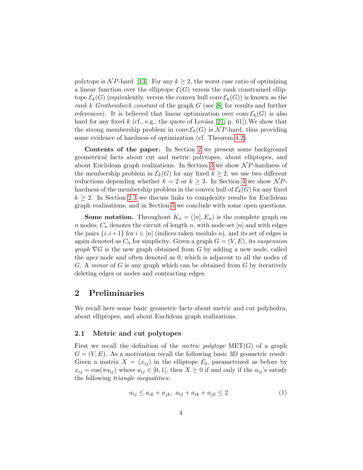polytope is NP-hard [\[13\]](#page-16-5). For any  $k \geq 2$ , the worst case ratio of optimizing a linear function over the elliptope  $\mathcal{E}(G)$  versus the rank constrained elliptope  $\mathcal{E}_k(G)$  (equivalently, versus the convex hull conv $\mathcal{E}_k(G)$ ) is known as the rank k Grothendieck constant of the graph  $G$  (see [\[8\]](#page-16-6) for results and further references). It is believed that linear optimization over conv $\mathcal{E}_k(G)$  is also hard for any fixed k (cf., e.g., the quote of Lovász [\[21,](#page-17-0) p. 61]). We show that the strong membership problem in conv $\mathcal{E}_k(G)$  is  $\mathcal{NP}$ -hard, thus providing some evidence of hardness of optimization (cf. Theorem [4.2\)](#page-15-0).

Contents of the paper. In Section [2](#page-3-0) we present some background geometrical facts about cut and metric polytopes, about elliptopes, and about Euclidean graph realizations. In Section [3](#page-7-0) we show  $\mathcal{N}P$ -hardness of the membership problem in  $\mathcal{E}_k(G)$  for any fixed  $k \geq 2$ ; we use two different reductions depending whether  $k = 2$  or  $k \geq 3$ . In Section [4](#page-12-0) we show NPhardness of the membership problem in the convex hull of  $\mathcal{E}_k(G)$  for any fixed  $k \geq 2$ . In Section [2.3](#page-6-0) we discuss links to complexity results for Euclidean graph realizations, and in Section [5](#page-15-1) we conclude with some open questions.

**Some notation.** Throughout  $K_n = ([n], E_n)$  is the complete graph on n nodes;  $C_n$  denotes the circuit of length n, with node set [n] and with edges the pairs  $\{i, i+1\}$  for  $i \in [n]$  (indices taken modulo n), and its set of edges is again denoted as  $C_n$  for simplicity. Given a graph  $G = (V, E)$ , its suspension graph  $\nabla G$  is the new graph obtained from G by adding a new node, called the apex node and often denoted as 0, which is adjacent to all the nodes of G. A minor of G is any graph which can be obtained from G by iteratively deleting edges or nodes and contracting edges.

# <span id="page-3-0"></span>2 Preliminaries

We recall here some basic geometric facts about metric and cut polyhedra, about elliptopes, and about Euclidean graph realizations.

#### 2.1 Metric and cut polytopes

First we recall the definition of the *metric polytope*  $MET(G)$  of a graph  $G = (V, E)$ . As a motivation recall the following basic 3D geometric result: Given a matrix  $X = (x_{ij})$  in the elliptope  $\mathcal{E}_3$ , parametrized as before by  $x_{ij} = \cos(\pi a_{ij})$  where  $a_{ij} \in [0, 1]$ , then  $X \succeq 0$  if and only if the  $a_{ij}$ 's satisfy the following triangle inequalities:

<span id="page-3-1"></span>
$$
a_{ij} \le a_{ik} + a_{jk}, \ a_{ij} + a_{ik} + a_{jk} \le 2 \tag{1}
$$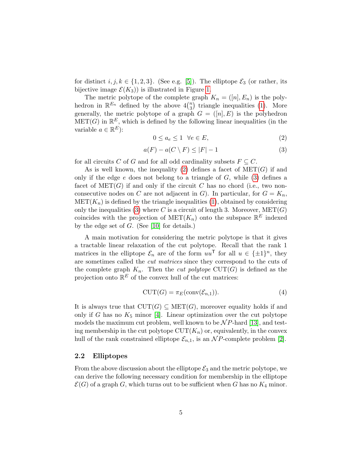for distinct  $i, j, k \in \{1, 2, 3\}$ . (See e.g. [\[5\]](#page-16-7)). The elliptope  $\mathcal{E}_3$  (or rather, its bijective image  $\mathcal{E}(K_3)$  is illustrated in Figure [1.](#page-6-1)

The metric polytope of the complete graph  $K_n = ([n], E_n)$  is the polyhedron in  $\mathbb{R}^{E_n}$  defined by the above  $4\binom{n}{3}$  triangle inequalities [\(1\)](#page-3-1). More generally, the metric polytope of a graph  $G = ([n], E)$  is the polyhedron  $MET(G)$  in  $\mathbb{R}^E$ , which is defined by the following linear inequalities (in the variable  $a \in \mathbb{R}^E$ :

<span id="page-4-0"></span>
$$
0 \le a_e \le 1 \quad \forall e \in E,\tag{2}
$$

<span id="page-4-1"></span>
$$
a(F) - a(C \setminus F) \le |F| - 1 \tag{3}
$$

for all circuits C of G and for all odd cardinality subsets  $F \subseteq C$ .

As is well known, the inequality [\(2\)](#page-4-0) defines a facet of  $MET(G)$  if and only if the edge  $e$  does not belong to a triangle of  $G$ , while  $(3)$  defines a facet of  $MET(G)$  if and only if the circuit C has no chord (i.e., two nonconsecutive nodes on C are not adjacent in G). In particular, for  $G = K_n$ ,  $\text{MET}(K_n)$  is defined by the triangle inequalities [\(1\)](#page-3-1), obtained by considering only the inequalities [\(3\)](#page-4-1) where C is a circuit of length 3. Moreover,  $MET(G)$ coincides with the projection of  $\text{MET}(K_n)$  onto the subspace  $\mathbb{R}^E$  indexed by the edge set of  $G$ . (See [\[10\]](#page-16-8) for details.)

A main motivation for considering the metric polytope is that it gives a tractable linear relaxation of the cut polytope. Recall that the rank 1 matrices in the elliptope  $\mathcal{E}_n$  are of the form  $uu^{\mathsf{T}}$  for all  $u \in {\{\pm 1\}}^n$ , they are sometimes called the cut matrices since they correspond to the cuts of the complete graph  $K_n$ . Then the *cut polytope* CUT(G) is defined as the projection onto  $\mathbb{R}^E$  of the convex hull of the cut matrices:

$$
CUT(G) = \pi_E(\text{conv}(\mathcal{E}_{n,1})).\tag{4}
$$

It is always true that  $CUT(G) \subseteq MET(G)$ , moreover equality holds if and only if G has no  $K_5$  minor [\[4\]](#page-16-9). Linear optimization over the cut polytope models the maximum cut problem, well known to be  $\mathcal NP$ -hard [\[13\]](#page-16-5), and testing membership in the cut polytope  $\text{CUT}(K_n)$  or, equivalently, in the convex hull of the rank constrained elliptope  $\mathcal{E}_{n,1}$ , is an NP-complete problem [\[2\]](#page-16-10).

#### 2.2 Elliptopes

From the above discussion about the elliptope  $\mathcal{E}_3$  and the metric polytope, we can derive the following necessary condition for membership in the elliptope  $\mathcal{E}(G)$  of a graph G, which turns out to be sufficient when G has no  $K_4$  minor.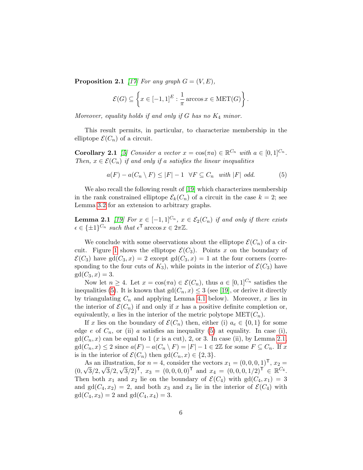**Proposition 2.1** [\[17\]](#page-17-3) For any graph  $G = (V, E)$ ,

$$
\mathcal{E}(G) \subseteq \left\{ x \in [-1,1]^E : \frac{1}{\pi} \arccos x \in \text{MET}(G) \right\}.
$$

Moreover, equality holds if and only if G has no  $K_4$  minor.

This result permits, in particular, to characterize membership in the elliptope  $\mathcal{E}(C_n)$  of a circuit.

**Corollary 2.1** [\[5\]](#page-16-7) Consider a vector  $x = \cos(\pi a) \in \mathbb{R}^{C_n}$  with  $a \in [0, 1]^{C_n}$ . Then,  $x \in \mathcal{E}(C_n)$  if and only if a satisfies the linear inequalities

<span id="page-5-0"></span>
$$
a(F) - a(C_n \setminus F) \le |F| - 1 \quad \forall F \subseteq C_n \quad \text{with } |F| \text{ odd.}
$$
 (5)

We also recall the following result of [\[19\]](#page-17-1) which characterizes membership in the rank constrained elliptope  $\mathcal{E}_k(C_n)$  of a circuit in the case  $k = 2$ ; see Lemma [3.2](#page-10-0) for an extension to arbitrary graphs.

<span id="page-5-1"></span>**Lemma 2.1** [\[19\]](#page-17-1) For  $x \in [-1, 1]^{C_n}$ ,  $x \in \mathcal{E}_2(C_n)$  if and only if there exists  $\epsilon \in {\{\pm 1\}}^{C_n}$  such that  $\epsilon^{\mathsf{T}}$  arccos  $x \in 2\pi \mathbb{Z}$ .

We conclude with some observations about the elliptope  $\mathcal{E}(C_n)$  of a cir-cuit. Figure [1](#page-6-1) shows the elliptope  $\mathcal{E}(C_3)$ . Points x on the boundary of  $\mathcal{E}(C_3)$  have gd( $C_3$ , x) = 2 except gd( $C_3$ , x) = 1 at the four corners (corresponding to the four cuts of  $K_3$ , while points in the interior of  $\mathcal{E}(C_3)$  have  $gd(C_3, x) = 3.$ 

Now let  $n \geq 4$ . Let  $x = \cos(\pi a) \in \mathcal{E}(C_n)$ , thus  $a \in [0,1]^{C_n}$  satisfies the inequalities [\(5\)](#page-5-0). It is known that  $gd(C_n, x) \leq 3$  (see [\[19\]](#page-17-1), or derive it directly by triangulating  $C_n$  and applying Lemma [4.1](#page-14-0) below). Moreover, x lies in the interior of  $\mathcal{E}(C_n)$  if and only if x has a positive definite completion or, equivalently, a lies in the interior of the metric polytope  $\text{MET}(C_n)$ .

If x lies on the boundary of  $\mathcal{E}(C_n)$  then, either (i)  $a_e \in \{0,1\}$  for some edge e of  $C_n$ , or (ii) a satisfies an inequality [\(5\)](#page-5-0) at equality. In case (i),  $gd(C_n, x)$  can be equal to 1 (x is a cut), 2, or 3. In case (ii), by Lemma [2.1,](#page-5-1)  $gd(C_n, x) \leq 2$  since  $a(F) - a(C_n \setminus F) = |F| - 1 \in 2\mathbb{Z}$  for some  $F \subseteq C_n$ . If x is in the interior of  $\mathcal{E}(C_n)$  then  $gd(C_n, x) \in \{2, 3\}.$ 

As an illustration, for  $n = 4$ , consider the vectors  $x_1 = (0, 0, 0, 1)^\mathsf{T}$ ,  $x_2 =$  $(0, \sqrt{3}/2, \sqrt{3}/2, \sqrt{3}/2)^\mathsf{T}$ ,  $x_3 = (0, 0, 0, 0)^\mathsf{T}$  and  $x_4 = (0, 0, 0, 1/2)^\mathsf{T} \in \mathbb{R}^{C_4}$ . Then both  $x_1$  and  $x_2$  lie on the boundary of  $\mathcal{E}(C_4)$  with  $gd(C_4, x_1)=3$ and  $gd(C_4, x_2) = 2$ , and both  $x_3$  and  $x_4$  lie in the interior of  $\mathcal{E}(C_4)$  with  $gd(C_4, x_3) = 2$  and  $gd(C_4, x_4) = 3$ .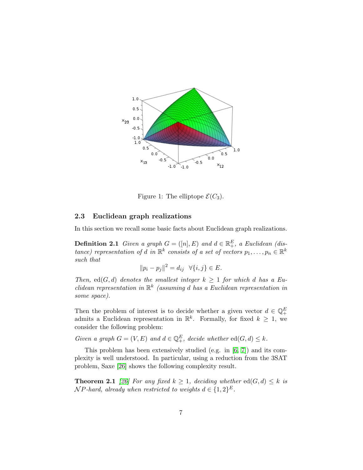

<span id="page-6-1"></span>Figure 1: The elliptope  $\mathcal{E}(C_3)$ .

#### <span id="page-6-0"></span>2.3 Euclidean graph realizations

In this section we recall some basic facts about Euclidean graph realizations.

**Definition 2.1** Given a graph  $G = ([n], E)$  and  $d \in \mathbb{R}^E_+$ , a Euclidean (distance) representation of d in  $\mathbb{R}^k$  consists of a set of vectors  $p_1,\ldots,p_n \in \mathbb{R}^k$ such that

$$
||p_i - p_j||^2 = d_{ij} \quad \forall \{i, j\} \in E.
$$

Then, ed(G, d) denotes the smallest integer  $k \geq 1$  for which d has a Euclidean representation in  $\mathbb{R}^k$  (assuming d has a Euclidean representation in some space).

Then the problem of interest is to decide whether a given vector  $d \in \mathbb{Q}_+^E$  admits a Euclidean representation in  $\mathbb{R}^k$ . Formally, for fixed  $k \geq 1$ , we consider the following problem:

Given a graph  $G = (V, E)$  and  $d \in \mathbb{Q}_+^E$ , decide whether  $ed(G, d) \leq k$ .

This problem has been extensively studied (e.g. in [\[6,](#page-16-3) [7\]](#page-16-4)) and its complexity is well understood. In particular, using a reduction from the 3SAT problem, Saxe [\[26\]](#page-17-4) shows the following complexity result.

<span id="page-6-2"></span>**Theorem 2.1** [\[26\]](#page-17-4) For any fixed  $k \geq 1$ , deciding whether  $ed(G, d) \leq k$  is  $\mathcal{N}$ P-hard, already when restricted to weights  $d \in \{1,2\}^E$ .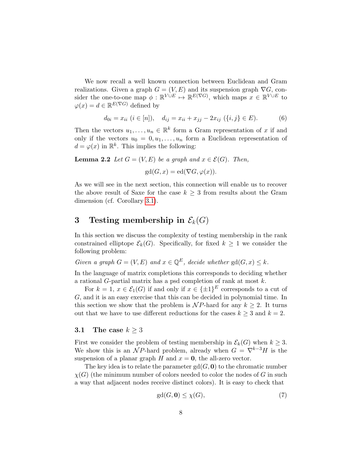We now recall a well known connection between Euclidean and Gram realizations. Given a graph  $G = (V, E)$  and its suspension graph  $\nabla G$ , consider the one-to-one map  $\phi : \mathbb{R}^{V \cup E} \mapsto \mathbb{R}^{E(\nabla G)}$ , which maps  $x \in \mathbb{R}^{V \cup E}$  to  $\varphi(x) = d \in \mathbb{R}^{E(\nabla G)}$  defined by

<span id="page-7-3"></span>
$$
d_{0i} = x_{ii} \ (i \in [n]), \quad d_{ij} = x_{ii} + x_{jj} - 2x_{ij} \ (i, j \in E). \tag{6}
$$

Then the vectors  $u_1, \ldots, u_n \in \mathbb{R}^k$  form a Gram representation of x if and only if the vectors  $u_0 = 0, u_1, \ldots, u_n$  form a Euclidean representation of  $d = \varphi(x)$  in  $\mathbb{R}^k$ . This implies the following:

<span id="page-7-2"></span>**Lemma 2.2** Let  $G = (V, E)$  be a graph and  $x \in \mathcal{E}(G)$ . Then,

$$
\mathrm{gd}(G,x)=\mathrm{ed}(\nabla G,\varphi(x)).
$$

As we will see in the next section, this connection will enable us to recover the above result of Saxe for the case  $k \geq 3$  from results about the Gram dimension (cf. Corollary [3.1\)](#page-9-1).

# <span id="page-7-0"></span>3 Testing membership in  $\mathcal{E}_k(G)$

In this section we discuss the complexity of testing membership in the rank constrained elliptope  $\mathcal{E}_k(G)$ . Specifically, for fixed  $k \geq 1$  we consider the following problem:

Given a graph  $G = (V, E)$  and  $x \in \mathbb{Q}^E$ , decide whether  $gd(G, x) \leq k$ .

In the language of matrix completions this corresponds to deciding whether a rational G-partial matrix has a psd completion of rank at most k.

For  $k = 1$ ,  $x \in \mathcal{E}_1(G)$  if and only if  $x \in {\pm 1}^E$  corresponds to a cut of G, and it is an easy exercise that this can be decided in polynomial time. In this section we show that the problem is  $\mathcal{NP}$ -hard for any  $k \geq 2$ . It turns out that we have to use different reductions for the cases  $k \geq 3$  and  $k = 2$ .

#### 3.1 The case  $k \geq 3$

First we consider the problem of testing membership in  $\mathcal{E}_k(G)$  when  $k \geq 3$ . We show this is an NP-hard problem, already when  $G = \nabla^{k-3}H$  is the suspension of a planar graph H and  $x = 0$ , the all-zero vector.

The key idea is to relate the parameter  $gd(G, 0)$  to the chromatic number  $\chi(G)$  (the minimum number of colors needed to color the nodes of G in such a way that adjacent nodes receive distinct colors). It is easy to check that

<span id="page-7-1"></span>
$$
\operatorname{gd}(G, \mathbf{0}) \le \chi(G),\tag{7}
$$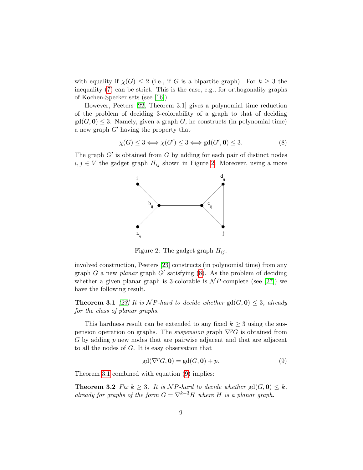with equality if  $\chi(G) \leq 2$  (i.e., if G is a bipartite graph). For  $k \geq 3$  the inequality [\(7\)](#page-7-1) can be strict. This is the case, e.g., for orthogonality graphs of Kochen-Specker sets (see [\[16\]](#page-17-5)).

However, Peeters [\[22,](#page-17-6) Theorem 3.1] gives a polynomial time reduction of the problem of deciding 3-colorability of a graph to that of deciding  $gd(G, 0) \leq 3$ . Namely, given a graph G, he constructs (in polynomial time) a new graph  $G'$  having the property that

<span id="page-8-2"></span>
$$
\chi(G) \le 3 \Longleftrightarrow \chi(G') \le 3 \Longleftrightarrow \text{gd}(G', \mathbf{0}) \le 3. \tag{8}
$$

The graph  $G'$  is obtained from  $G$  by adding for each pair of distinct nodes  $i, j \in V$  the gadget graph  $H_{ij}$  shown in Figure [2.](#page-8-1) Moreover, using a more



<span id="page-8-1"></span>Figure 2: The gadget graph  $H_{ij}$ .

involved construction, Peeters [\[23\]](#page-17-7) constructs (in polynomial time) from any graph G a new planar graph G' satisfying  $(8)$ . As the problem of deciding whether a given planar graph is 3-colorable is  $\mathcal{N}P$ -complete (see [\[27\]](#page-17-8)) we have the following result.

<span id="page-8-3"></span>**Theorem 3.1** [\[23\]](#page-17-7) It is NP-hard to decide whether  $gd(G, 0) \leq 3$ , already for the class of planar graphs.

This hardness result can be extended to any fixed  $k \geq 3$  using the suspension operation on graphs. The *suspension* graph  $\nabla^p G$  is obtained from G by adding p new nodes that are pairwise adjacent and that are adjacent to all the nodes of G. It is easy observation that

<span id="page-8-4"></span>
$$
gd(\nabla^p G, \mathbf{0}) = gd(G, \mathbf{0}) + p.
$$
\n(9)

<span id="page-8-0"></span>Theorem [3.1](#page-8-3) combined with equation [\(9\)](#page-8-4) implies:

**Theorem 3.2** Fix  $k \geq 3$ . It is NP-hard to decide whether  $gd(G, 0) \leq k$ , already for graphs of the form  $G = \nabla^{k-3}H$  where H is a planar graph.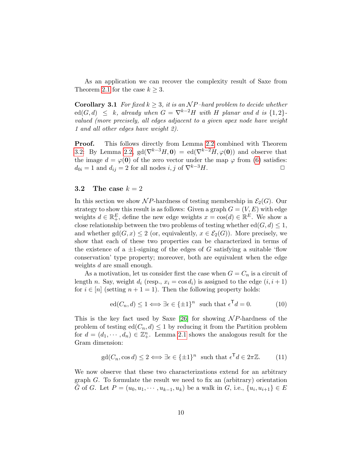As an application we can recover the complexity result of Saxe from Theorem [2.1](#page-6-2) for the case  $k \geq 3$ .

<span id="page-9-1"></span>**Corollary 3.1** For fixed  $k \geq 3$ , it is an NP-hard problem to decide whether  $\operatorname{ed}(G, d) \leq k$ , already when  $G = \nabla^{k-2}H$  with H planar and d is  $\{1, 2\}$ valued (more precisely, all edges adjacent to a given apex node have weight 1 and all other edges have weight 2).

Proof. This follows directly from Lemma [2.2](#page-7-2) combined with Theorem [3.2:](#page-8-0) By Lemma [2.2,](#page-7-2)  $gd(\nabla^{k-3}H, 0) = ed(\nabla^{k-2}H, \varphi(0))$  and observe that the image  $d = \varphi(0)$  of the zero vector under the map  $\varphi$  from [\(6\)](#page-7-3) satisfies:  $d_{0i} = 1$  and  $d_{ij} = 2$  for all nodes i, j of  $\nabla^{k-3}H$ .

#### <span id="page-9-0"></span>3.2 The case  $k = 2$

In this section we show NP-hardness of testing membership in  $\mathcal{E}_2(G)$ . Our strategy to show this result is as follows: Given a graph  $G = (V, E)$  with edge weights  $d \in \mathbb{R}^E_+$ , define the new edge weights  $x = \cos(d) \in \mathbb{R}^E$ . We show a close relationship between the two problems of testing whether  $ed(G, d) \leq 1$ , and whether  $gd(G, x) \leq 2$  (or, equivalently,  $x \in \mathcal{E}_2(G)$ ). More precisely, we show that each of these two properties can be characterized in terms of the existence of a  $\pm 1$ -signing of the edges of G satisfying a suitable 'flow conservation' type property; moreover, both are equivalent when the edge weights d are small enough.

As a motivation, let us consider first the case when  $G = C_n$  is a circuit of length n. Say, weight  $d_i$  (resp.,  $x_i = \cos d_i$ ) is assigned to the edge  $(i, i + 1)$ for  $i \in [n]$  (setting  $n + 1 = 1$ ). Then the following property holds:

<span id="page-9-2"></span>
$$
\operatorname{ed}(C_n, d) \le 1 \Longleftrightarrow \exists \epsilon \in \{\pm 1\}^n \text{ such that } \epsilon^{\mathsf{T}} d = 0. \tag{10}
$$

This is the key fact used by Saxe [\[26\]](#page-17-4) for showing  $\mathcal{N}P$ -hardness of the problem of testing  $ed(C_n, d) \leq 1$  by reducing it from the Partition problem for  $d = (d_1, \dots, d_n) \in \mathbb{Z}_+^n$ . Lemma [2.1](#page-5-1) shows the analogous result for the Gram dimension:

<span id="page-9-3"></span>
$$
\text{gd}(C_n, \cos d) \le 2 \Longleftrightarrow \exists \epsilon \in \{\pm 1\}^n \text{ such that } \epsilon^{\mathsf{T}} d \in 2\pi \mathbb{Z}. \tag{11}
$$

We now observe that these two characterizations extend for an arbitrary graph  $G$ . To formulate the result we need to fix an (arbitrary) orientation G of G. Let  $P = (u_0, u_1, \dots, u_{k-1}, u_k)$  be a walk in G, i.e.,  $\{u_i, u_{i+1}\} \in E$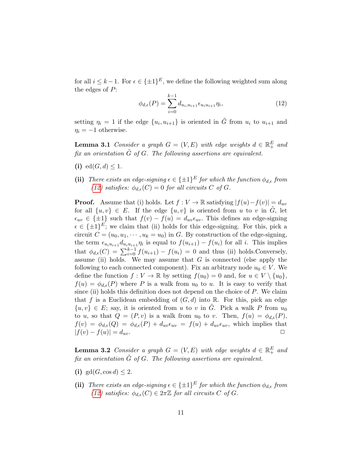for all  $i \leq k-1$ . For  $\epsilon \in {\pm 1}^E$ , we define the following weighted sum along the edges of  $P$ :

<span id="page-10-1"></span>
$$
\phi_{d,\epsilon}(P) = \sum_{i=0}^{k-1} d_{u_i, u_{i+1}} \epsilon_{u_i u_{i+1}} \eta_i,
$$
\n(12)

setting  $\eta_i = 1$  if the edge  $\{u_i, u_{i+1}\}\$ is oriented in  $\tilde{G}$  from  $u_i$  to  $u_{i+1}$  and  $\eta_i = -1$  otherwise.

<span id="page-10-2"></span>**Lemma 3.1** Consider a graph  $G = (V, E)$  with edge weights  $d \in \mathbb{R}^E_+$  and fix an orientation  $\tilde{G}$  of G. The following assertions are equivalent.

- (i) ed $(G, d) \leq 1$ .
- (ii) There exists an edge-signing  $\epsilon \in \{\pm 1\}^E$  for which the function  $\phi_{d,\epsilon}$  from [\(12\)](#page-10-1) satisfies:  $\phi_{d,\epsilon}(C)=0$  for all circuits C of G.

**Proof.** Assume that (i) holds. Let  $f : V \to \mathbb{R}$  satisfying  $|f(u)-f(v)| = d_{uv}$ for all  $\{u, v\} \in E$ . If the edge  $\{u, v\}$  is oriented from u to v in  $\tilde{G}$ , let  $\epsilon_{uv} \in {\pm 1}$  such that  $f(v) - f(u) = d_{uv} \epsilon_{uv}$ . This defines an edge-signing  $\epsilon \in {\pm 1}^E$ ; we claim that (ii) holds for this edge-signing. For this, pick a circuit  $C = (u_0, u_1, \dots, u_k = u_0)$  in G. By construction of the edge-signing, the term  $\epsilon_{u_i u_{i+1}} d_{u_i u_{i+1}} \eta_i$  is equal to  $f(u_{i+1}) - f(u_i)$  for all i. This implies that  $\phi_{d,\epsilon}(C) = \sum_{i=0}^{k-1} f(u_{i+1}) - f(u_i) = 0$  and thus (ii) holds. Conversely, assume (ii) holds. We may assume that  $G$  is connected (else apply the following to each connected component). Fix an arbitrary node  $u_0 \in V$ . We define the function  $f: V \to \mathbb{R}$  by setting  $f(u_0) = 0$  and, for  $u \in V \setminus \{u_0\},$  $f(u) = \phi_{d,\epsilon}(P)$  where P is a walk from  $u_0$  to u. It is easy to verify that since (ii) holds this definition does not depend on the choice of  $P$ . We claim that f is a Euclidean embedding of  $(G, d)$  into R. For this, pick an edge  $\{u, v\} \in E$ ; say, it is oriented from u to v in G. Pick a walk P from  $u_0$ to u, so that  $Q = (P, v)$  is a walk from  $u_0$  to v. Then,  $f(u) = \phi_{d,\epsilon}(P)$ ,  $f(v) = \phi_{d,\epsilon}(Q) = \phi_{d,\epsilon}(P) + d_{uv}\epsilon_{uv} = f(u) + d_{uv}\epsilon_{uv}$ , which implies that  $|f(v) - f(u)| = d_{uv}.$ 

<span id="page-10-0"></span>**Lemma 3.2** Consider a graph  $G = (V, E)$  with edge weights  $d \in \mathbb{R}^E_+$  and fix an orientation  $\tilde{G}$  of  $G$ . The following assertions are equivalent.

- (i) gd(G, cos d)  $\leq 2$ .
- (ii) There exists an edge-signing  $\epsilon \in \{\pm 1\}^E$  for which the function  $\phi_{d,\epsilon}$  from [\(12\)](#page-10-1) satisfies:  $\phi_{d,\epsilon}(C) \in 2\pi\mathbb{Z}$  for all circuits C of G.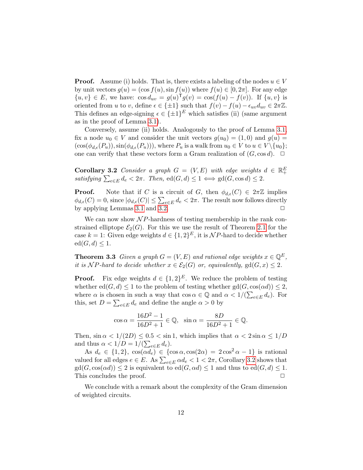**Proof.** Assume (i) holds. That is, there exists a labeling of the nodes  $u \in V$ by unit vectors  $g(u) = (\cos f(u), \sin f(u))$  where  $f(u) \in [0, 2\pi]$ . For any edge  $\{u, v\} \in E$ , we have:  $\cos d_{uv} = g(u)^T g(v) = \cos(f(u) - f(v))$ . If  $\{u, v\}$  is oriented from u to v, define  $\epsilon \in \{\pm 1\}$  such that  $f(v) - f(u) - \epsilon_{uv} d_{uv} \in 2\pi \mathbb{Z}$ . This defines an edge-signing  $\epsilon \in {\pm 1}^E$  which satisfies (ii) (same argument as in the proof of Lemma [3.1\)](#page-10-2).

Conversely, assume (ii) holds. Analogously to the proof of Lemma [3.1,](#page-10-2) fix a node  $u_0 \in V$  and consider the unit vectors  $g(u_0) = (1,0)$  and  $g(u) =$  $(\cos(\phi_{d,\epsilon}(P_u)), \sin(\phi_{d,\epsilon}(P_u)))$ , where  $P_u$  is a walk from  $u_0 \in V$  to  $u \in V \setminus \{u_0\};$ one can verify that these vectors form a Gram realization of  $(G, \cos d)$ .  $\Box$ 

<span id="page-11-1"></span>**Corollary 3.2** Consider a graph  $G = (V, E)$  with edge weights  $d \in \mathbb{R}^E_+$ satisfying  $\sum_{e \in E} d_e < 2\pi$ . Then,  $ed(G, d) \leq 1 \iff gd(G, \cos d) \leq 2$ .

**Proof.** Note that if C is a circuit of G, then  $\phi_{d,\epsilon}(C) \in 2\pi\mathbb{Z}$  implies  $\phi_{d,\epsilon}(C) = 0$ , since  $|\phi_{d,\epsilon}(C)| \leq \sum_{e \in E} d_e < 2\pi$ . The result now follows directly by applying Lemmas  $3.1$  and  $3.2$ .

We can now show  $\mathcal{N}P$ -hardness of testing membership in the rank constrained elliptope  $\mathcal{E}_2(G)$ . For this we use the result of Theorem [2.1](#page-6-2) for the case k = 1: Given edge weights  $d \in \{1,2\}^E$ , it is NP-hard to decide whether  $ed(G, d) \leq 1.$ 

<span id="page-11-0"></span>**Theorem 3.3** Given a graph  $G = (V, E)$  and rational edge weights  $x \in \mathbb{Q}^E$ , it is NP-hard to decide whether  $x \in \mathcal{E}_2(G)$  or, equivalently,  $gd(G, x) \leq 2$ .

**Proof.** Fix edge weights  $d \in \{1,2\}^E$ . We reduce the problem of testing whether ed( $G, d$ )  $\leq 1$  to the problem of testing whether gd( $G, \cos(\alpha d)$ )  $\leq 2$ , where  $\alpha$  is chosen in such a way that  $\cos \alpha \in \mathbb{Q}$  and  $\alpha < 1/(\sum_{e \in E} d_e)$ . For this, set  $D = \sum_{e \in E} d_e$  and define the angle  $\alpha > 0$  by

$$
\cos \alpha = \frac{16D^2 - 1}{16D^2 + 1} \in \mathbb{Q}, \quad \sin \alpha = \frac{8D}{16D^2 + 1} \in \mathbb{Q}.
$$

Then,  $\sin \alpha < 1/(2D) \leq 0.5 < \sin 1$ , which implies that  $\alpha < 2 \sin \alpha \leq 1/D$ and thus  $\alpha < 1/D = 1/(\sum_{e \in E} d_e)$ .

As  $d_e \in \{1, 2\}$ ,  $\cos(\alpha d_e) \in \{\cos \alpha, \cos(2\alpha) = 2\cos^2 \alpha - 1\}$  is rational valued for all edges  $e \in E$ . As  $\sum_{e \in E} \alpha d_e < 1 < 2\pi$ , Corollary [3.2](#page-11-1) shows that  $gd(G, \cos(\alpha d)) \leq 2$  is equivalent to  $ed(G, \alpha d) \leq 1$  and thus to  $ed(G, d) \leq 1$ .<br>This concludes the proof. This concludes the proof.

We conclude with a remark about the complexity of the Gram dimension of weighted circuits.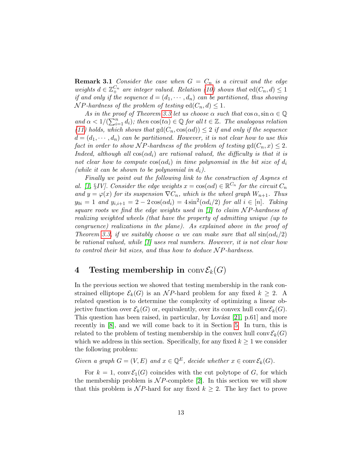**Remark 3.1** Consider the case when  $G = C_n$  is a circuit and the edge weights  $d \in \mathbb{Z}_+^{C_n}$  are integer valued. Relation [\(10\)](#page-9-2) shows that  $\operatorname{ed}(C_n, d) \leq 1$ if and only if the sequence  $d = (d_1, \dots, d_n)$  can be partitioned, thus showing  $\mathcal{N}P$ -hardness of the problem of testing  $ed(C_n, d) \leq 1$ .

As in the proof of Theorem [3.3](#page-11-0) let us choose  $\alpha$  such that  $\cos \alpha$ ,  $\sin \alpha \in \mathbb{Q}$ and  $\alpha < 1/(\sum_{i=1}^n d_i)$ ; then  $\cos(t\alpha) \in \mathbb{Q}$  for all  $t \in \mathbb{Z}$ . The analogous relation [\(11\)](#page-9-3) holds, which shows that  $gd(C_n, cos(\alpha d)) \leq 2$  if and only if the sequence  $d = (d_1, \dots, d_n)$  can be partitioned. However, it is not clear how to use this fact in order to show NP-hardness of the problem of testing  $gd(C_n, x) \leq 2$ . Indeed, although all  $cos(\alpha d_i)$  are rational valued, the difficulty is that it is not clear how to compute  $cos(\alpha d_i)$  in time polynomial in the bit size of  $d_i$ (while it can be shown to be polynomial in  $d_i$ ).

Finally we point out the following link to the construction of Aspnes et al. [\[1,](#page-16-11) §IV]. Consider the edge weights  $x = \cos(\alpha d) \in \mathbb{R}^{C_n}$  for the circuit  $C_n$ and  $y = \varphi(x)$  for its suspension  $\nabla C_n$ , which is the wheel graph  $W_{n+1}$ . Thus  $y_{0i} = 1$  and  $y_{i,i+1} = 2 - 2\cos(\alpha d_i) = 4\sin^2(\alpha d_i/2)$  for all  $i \in [n]$ . Taking square roots we find the edge weights used in  $\lceil 1 \rceil$  to claim NP-hardness of realizing weighted wheels (that have the property of admitting unique (up to congruence) realizations in the plane). As explained above in the proof of Theorem [3.3,](#page-11-0) if we suitably choose  $\alpha$  we can make sure that all  $\sin(\alpha d_i/2)$ be rational valued, while [\[1\]](#page-16-11) uses real numbers. However, it is not clear how to control their bit sizes, and thus how to deduce  $\mathcal{NP}$ -hardness.

# <span id="page-12-0"></span>4 Testing membership in  $conv\mathcal{E}_k(G)$

In the previous section we showed that testing membership in the rank constrained elliptope  $\mathcal{E}_k(G)$  is an NP-hard problem for any fixed  $k \geq 2$ . A related question is to determine the complexity of optimizing a linear objective function over  $\mathcal{E}_k(G)$  or, equivalently, over its convex hull conv $\mathcal{E}_k(G)$ . This question has been raised, in particular, by Lovász  $[21, p.61]$  $[21, p.61]$  and more recently in [\[8\]](#page-16-6), and we will come back to it in Section [5.](#page-15-1) In turn, this is related to the problem of testing membership in the convex hull conv $\mathcal{E}_k(G)$ which we address in this section. Specifically, for any fixed  $k \geq 1$  we consider the following problem:

Given a graph  $G = (V, E)$  and  $x \in \mathbb{Q}^E$ , decide whether  $x \in \text{conv}\mathcal{E}_k(G)$ .

For  $k = 1$ , conv $\mathcal{E}_1(G)$  coincides with the cut polytope of G, for which the membership problem is  $\mathcal NP$ -complete [\[2\]](#page-16-10). In this section we will show that this problem is NP-hard for any fixed  $k \geq 2$ . The key fact to prove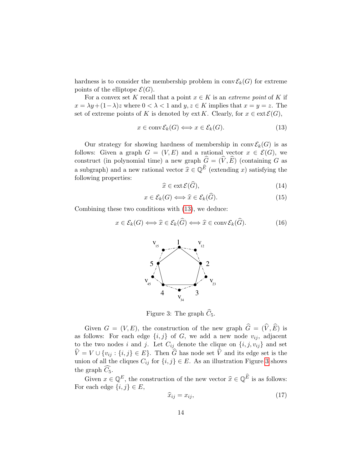hardness is to consider the membership problem in  $conv \mathcal{E}_k(G)$  for extreme points of the elliptope  $\mathcal{E}(G)$ .

For a convex set K recall that a point  $x \in K$  is an *extreme point* of K if  $x = \lambda y + (1 - \lambda)z$  where  $0 < \lambda < 1$  and  $y, z \in K$  implies that  $x = y = z$ . The set of extreme points of K is denoted by ext K. Clearly, for  $x \in \text{ext} \mathcal{E}(G)$ ,

<span id="page-13-0"></span>
$$
x \in \operatorname{conv} \mathcal{E}_k(G) \Longleftrightarrow x \in \mathcal{E}_k(G). \tag{13}
$$

Our strategy for showing hardness of membership in  $conv \mathcal{E}_k(G)$  is as follows: Given a graph  $G = (V, E)$  and a rational vector  $x \in \mathcal{E}(G)$ , we construct (in polynomial time) a new graph  $\widehat{G} = (\widehat{V}, \widehat{E})$  (containing G as a subgraph) and a new rational vector  $\hat{x} \in \mathbb{Q}^{\hat{E}}$  (extending x) satisfying the following properties:

<span id="page-13-2"></span>
$$
\widehat{x} \in \text{ext}\,\mathcal{E}(\widehat{G}),\tag{14}
$$

<span id="page-13-3"></span>
$$
x \in \mathcal{E}_k(G) \Longleftrightarrow \widehat{x} \in \mathcal{E}_k(\widehat{G}).\tag{15}
$$

Combining these two conditions with [\(13\)](#page-13-0), we deduce:

<span id="page-13-5"></span>
$$
x \in \mathcal{E}_k(G) \Longleftrightarrow \widehat{x} \in \mathcal{E}_k(\widehat{G}) \Longleftrightarrow \widehat{x} \in \text{conv}\,\mathcal{E}_k(\widehat{G}).\tag{16}
$$



<span id="page-13-1"></span>Figure 3: The graph  $\widehat{C}_5$ .

Given  $G = (V, E)$ , the construction of the new graph  $\hat{G} = (\hat{V}, \hat{E})$  is as follows: For each edge  $\{i, j\}$  of G, we add a new node  $v_{ij}$ , adjacent to the two nodes i and j. Let  $C_{ij}$  denote the clique on  $\{i, j, v_{ij}\}$  and set  $\hat{V} = V \cup \{v_{ij} : \{i, j\} \in E\}$ . Then  $\hat{G}$  has node set  $\hat{V}$  and its edge set is the union of all the cliques  $C_{ij}$  for  $\{i, j\} \in E$ . As an illustration Figure [3](#page-13-1) shows the graph  $C_5$ .

Given  $x \in \mathbb{Q}^E$ , the construction of the new vector  $\hat{x} \in \mathbb{Q}^{\hat{E}}$  is as follows: For each edge  $\{i, j\} \in E$ ,

<span id="page-13-4"></span>
$$
\widehat{x}_{ij} = x_{ij},\tag{17}
$$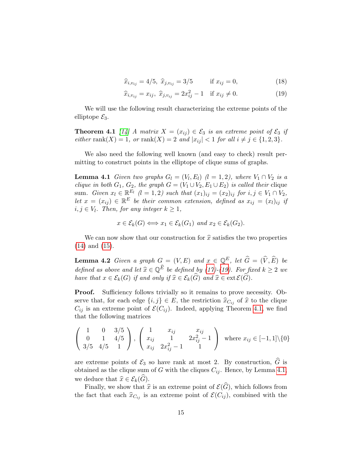$$
\hat{x}_{i,v_{ij}} = 4/5, \ \hat{x}_{j,v_{ij}} = 3/5 \qquad \text{if } x_{ij} = 0,
$$
\n(18)

<span id="page-14-1"></span>
$$
\widehat{x}_{i,v_{ij}} = x_{ij}, \ \widehat{x}_{j,v_{ij}} = 2x_{ij}^2 - 1 \quad \text{if } x_{ij} \neq 0. \tag{19}
$$

We will use the following result characterizing the extreme points of the elliptope  $\mathcal{E}_3$ .

<span id="page-14-2"></span>**Theorem 4.1** [\[14\]](#page-17-9) A matrix  $X = (x_{ij}) \in \mathcal{E}_3$  is an extreme point of  $\mathcal{E}_3$  if either rank $(X)=1$ , or rank $(X)=2$  and  $|x_{ij}| < 1$  for all  $i \neq j \in \{1,2,3\}.$ 

We also need the following well known (and easy to check) result permitting to construct points in the elliptope of clique sums of graphs.

<span id="page-14-0"></span>**Lemma 4.1** Given two graphs  $G_l = (V_l, E_l)$  ( $l = 1, 2$ ), where  $V_1 \cap V_2$  is a clique in both  $G_1$ ,  $G_2$ , the graph  $G = (V_1 \cup V_2, E_1 \cup E_2)$  is called their clique sum. Given  $x_l \in \mathbb{R}^{E_l}$   $(l = 1, 2)$  such that  $(x_1)_{ij} = (x_2)_{ij}$  for  $i, j \in V_1 \cap V_2$ , let  $x = (x_{ij}) \in \mathbb{R}^E$  be their common extension, defined as  $x_{ij} = (x_i)_{ij}$  if  $i, j \in V_l$ . Then, for any integer  $k \geq 1$ ,

$$
x \in \mathcal{E}_k(G) \Longleftrightarrow x_1 \in \mathcal{E}_k(G_1) \text{ and } x_2 \in \mathcal{E}_k(G_2).
$$

We can now show that our construction for  $\hat{x}$  satisfies the two properties [\(14\)](#page-13-2) and [\(15\)](#page-13-3).

<span id="page-14-3"></span>**Lemma 4.2** Given a graph  $G = (V, E)$  and  $x \in \mathbb{Q}^E$ , let  $\widehat{G} = (\widehat{V}, \widehat{E})$  be defined as above and let  $\widehat{x} \in \mathbb{Q}^{\widehat{E}}$  be defined by [\(17\)](#page-13-4)-[\(19\)](#page-14-1). For fixed  $k \geq 2$  we have that  $x \in \mathcal{E}_k(G)$  if and only if  $\widehat{x} \in \mathcal{E}_k(\widehat{G})$  and  $\widehat{x} \in \text{ext}\,\mathcal{E}(\widehat{G})$ .

**Proof.** Sufficiency follows trivially so it remains to prove necessity. Observe that, for each edge  $\{i, j\} \in E$ , the restriction  $\hat{x}_{C_{ij}}$  of  $\hat{x}$  to the clique  $C_{ij}$  is an extreme point of  $\mathcal{E}(C_{ij})$ . Indeed, applying Theorem [4.1,](#page-14-2) we find that the following matrices

$$
\left(\begin{array}{ccc} 1 & 0 & 3/5 \\ 0 & 1 & 4/5 \\ 3/5 & 4/5 & 1 \end{array}\right), \left(\begin{array}{ccc} 1 & x_{ij} & x_{ij} \\ x_{ij} & 1 & 2x_{ij}^2 - 1 \\ x_{ij} & 2x_{ij}^2 - 1 & 1 \end{array}\right) \text{ where } x_{ij} \in [-1, 1] \setminus \{0\}
$$

are extreme points of  $\mathcal{E}_3$  so have rank at most 2. By construction,  $\widehat{G}$  is obtained as the clique sum of G with the cliques  $C_{ij}$ . Hence, by Lemma [4.1,](#page-14-0) we deduce that  $\widehat{x} \in \mathcal{E}_k(\widehat{G})$ .

Finally, we show that  $\hat{x}$  is an extreme point of  $\mathcal{E}(\widehat{G})$ , which follows from the fact that each  $\hat{x}_{C_{ij}}$  is an extreme point of  $\mathcal{E}(C_{ij})$ , combined with the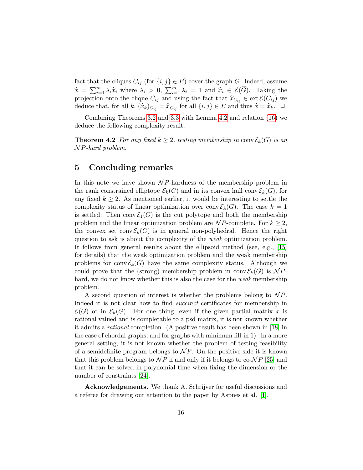fact that the cliques  $C_{ij}$  (for  $\{i, j\} \in E$ ) cover the graph G. Indeed, assume  $\widehat{x} = \sum_{i=1}^m \lambda_i \widehat{x}_i$  where  $\lambda_i > 0$ ,  $\sum_{i=1}^m \lambda_i = 1$  and  $\widehat{x}_i \in \mathcal{E}(\widehat{G})$ . Taking the projection onto the clique  $C_{ij}$  and using the fact that  $\hat{x}_{C_{ij}} \in \text{ext} \mathcal{E}(C_{ij})$  we deduce that, for all  $k$ ,  $(\widehat{x}_k)_{C_{ij}} = \widehat{x}_{C_{ij}}$  for all  $\{i, j\} \in E$  and thus  $\widehat{x} = \widehat{x}_k$ .  $\Box$ 

Combining Theorems [3.2](#page-8-0) and [3.3](#page-11-0) with Lemma [4.2](#page-14-3) and relation [\(16\)](#page-13-5) we deduce the following complexity result.

<span id="page-15-0"></span>**Theorem 4.2** For any fixed  $k \geq 2$ , testing membership in conv $\mathcal{E}_k(G)$  is an  $\mathcal{N}P$ -hard problem.

# <span id="page-15-1"></span>5 Concluding remarks

In this note we have shown  $\mathcal{N}P$ -hardness of the membership problem in the rank constrained elliptope  $\mathcal{E}_k(G)$  and in its convex hull conv $\mathcal{E}_k(G)$ , for any fixed  $k \geq 2$ . As mentioned earlier, it would be interesting to settle the complexity status of linear optimization over conv $\mathcal{E}_k(G)$ . The case  $k = 1$ is settled: Then conv $\mathcal{E}_1(G)$  is the cut polytope and both the membership problem and the linear optimization problem are  $\mathcal{N}P$ -complete. For  $k \geq 2$ , the convex set conv $\mathcal{E}_k(G)$  is in general non-polyhedral. Hence the right question to ask is about the complexity of the weak optimization problem. It follows from general results about the ellipsoid method (see, e.g., [\[15\]](#page-17-10) for details) that the weak optimization problem and the weak membership problems for conv $\mathcal{E}_k(G)$  have the same complexity status. Although we could prove that the (strong) membership problem in conv $\mathcal{E}_k(G)$  is  $\mathcal{NP}$ hard, we do not know whether this is also the case for the *weak* membership problem.

A second question of interest is whether the problems belong to  $\mathcal{NP}$ . Indeed it is not clear how to find *succinct* certificates for membership in  $\mathcal{E}(G)$  or in  $\mathcal{E}_k(G)$ . For one thing, even if the given partial matrix x is rational valued and is completable to a psd matrix, it is not known whether it admits a rational completion. (A positive result has been shown in [\[18\]](#page-17-11) in the case of chordal graphs, and for graphs with minimum fill-in 1). In a more general setting, it is not known whether the problem of testing feasibility of a semidefinite program belongs to  $\mathcal NP$ . On the positive side it is known that this problem belongs to  $\mathcal{NP}$  if and only if it belongs to co- $\mathcal{NP}$  [\[25\]](#page-17-12) and that it can be solved in polynomial time when fixing the dimension or the number of constraints [\[24\]](#page-17-13).

Acknowledgements. We thank A. Schrijver for useful discussions and a referee for drawing our attention to the paper by Aspnes et al. [\[1\]](#page-16-11).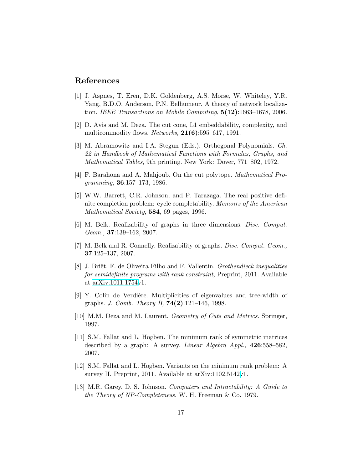# References

- <span id="page-16-11"></span>[1] J. Aspnes, T. Eren, D.K. Goldenberg, A.S. Morse, W. Whiteley, Y.R. Yang, B.D.O. Anderson, P.N. Belhumeur. A theory of network localization. IEEE Transactions on Mobile Computing,  $5(12):1663-1678$ , 2006.
- <span id="page-16-10"></span>[2] D. Avis and M. Deza. The cut cone, L1 embeddability, complexity, and multicommodity flows. *Networks*,  $21(6):595-617$ , 1991.
- [3] M. Abramowitz and I.A. Stegun (Eds.). Orthogonal Polynomials. Ch. 22 in Handbook of Mathematical Functions with Formulas, Graphs, and Mathematical Tables, 9th printing. New York: Dover, 771–802, 1972.
- <span id="page-16-9"></span>[4] F. Barahona and A. Mahjoub. On the cut polytope. Mathematical Programming, 36:157–173, 1986.
- <span id="page-16-7"></span>[5] W.W. Barrett, C.R. Johnson, and P. Tarazaga. The real positive definite completion problem: cycle completability. Memoirs of the American Mathematical Society, **584**, 69 pages, 1996.
- <span id="page-16-3"></span>[6] M. Belk. Realizability of graphs in three dimensions. Disc. Comput. Geom., 37:139–162, 2007.
- <span id="page-16-4"></span>[7] M. Belk and R. Connelly. Realizability of graphs. Disc. Comput. Geom., 37:125–137, 2007.
- <span id="page-16-6"></span>[8] J. Briët, F. de Oliveira Filho and F. Vallentin. *Grothendieck inequalities* for semidefinite programs with rank constraint, Preprint, 2011. Available at [arXiv:1011.1754v](http://arxiv.org/abs/1011.1754)1.
- <span id="page-16-0"></span>[9] Y. Colin de Verdière. Multiplicities of eigenvalues and tree-width of graphs. J. Comb. Theory B, 74(2):121–146, 1998.
- <span id="page-16-8"></span>[10] M.M. Deza and M. Laurent. Geometry of Cuts and Metrics. Springer, 1997.
- <span id="page-16-1"></span>[11] S.M. Fallat and L. Hogben. The minimum rank of symmetric matrices described by a graph: A survey. *Linear Algebra Appl.*, 426:558–582, 2007.
- <span id="page-16-2"></span>[12] S.M. Fallat and L. Hogben. Variants on the minimum rank problem: A survey II. Preprint, 2011. Available at [arXiv:1102.5142v](http://arxiv.org/abs/1102.5142)1.
- <span id="page-16-5"></span>[13] M.R. Garey, D. S. Johnson. Computers and Intractability: A Guide to the Theory of NP-Completeness. W. H. Freeman & Co. 1979.